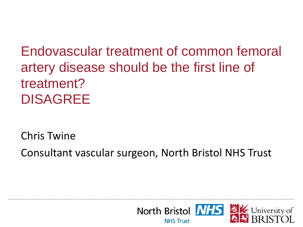Endovascular treatment of common femoral artery disease should be the first line of treatment? DISAGREE

Chris Twine

Consultant vascular surgeon, North Bristol NHS Trust

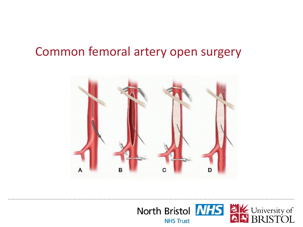### Common femoral artery open surgery



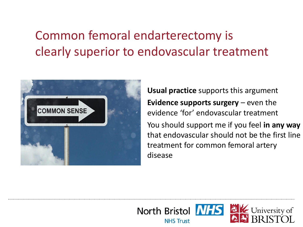# Common femoral endarterectomy is clearly superior to endovascular treatment



**Usual practice** supports this argument **Evidence supports surgery** – even the evidence 'for' endovascular treatment You should support me if you feel **in any way**  that endovascular should not be the first line treatment for common femoral artery disease

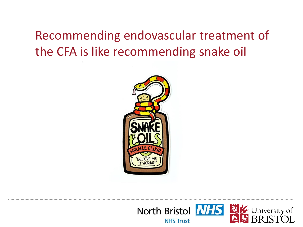# Recommending endovascular treatment of the CFA is like recommending snake oil



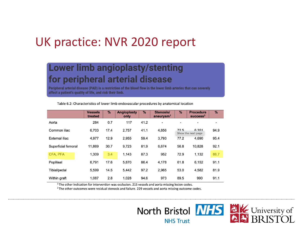### UK practice: NVR 2020 report

#### **Lower limb angioplasty/stenting** for peripheral arterial disease

Peripheral arterial disease (PAD) is a restriction of the blood flow in the lower limb arteries that can severely affect a patient's quality of life, and risk their limb.

|                     | <b>Vessels</b><br>treated | $\%$ | <b>Angioplasty</b><br>only | $\%$ | Stenosis/<br>aneurysm <sup>1</sup> | $\%$ | <b>Procedure</b><br>succes <sup>2</sup> | %    |
|---------------------|---------------------------|------|----------------------------|------|------------------------------------|------|-----------------------------------------|------|
| Aorta               | 284                       | 0.7  | 117                        | 41.2 | $\blacksquare$                     |      |                                         |      |
| Common iliac        | 6.703                     | 17.4 | 2,757                      | 41.1 | 4,856                              | 72.5 | 6.351<br>Show the next page             | 94.9 |
| External iliac      | 4.977                     | 12.9 | 2.955                      | 59.4 | 3.793                              | 77.2 | 4.690                                   | 95.4 |
| Superficial femoral | 11,869                    | 30.7 | 9.723                      | 81.9 | 6.674                              | 56.8 | 10.828                                  | 92.1 |
| CFA, PFA            | 1,309                     | 3.4  | 1,143                      | 87.3 | 952                                | 72.9 | 1,132                                   | 86.7 |
| Popliteal           | 6.791                     | 17.6 | 5,870                      | 86.4 | 4,178                              | 61.8 | 6,152                                   | 91.1 |
| Tibial/pedal        | 5.599                     | 14.5 | 5.442                      | 97.2 | 2.965                              | 53.0 | 4.582                                   | 81.9 |
| Within graft        | 1,087                     | 2.8  | 1,028                      | 94.6 | 973                                | 89.5 | 990                                     | 91.1 |

Table 6.2: Characteristics of lower limb endovascular procedures by anatomical location

 $1$ The other indication for intervention was occlusion. 215 vessels and aorta missing lesion codes.

<sup>2</sup> The other outcomes were residual stenosis and failure. 229 vessels and aorta missing outcome codes.

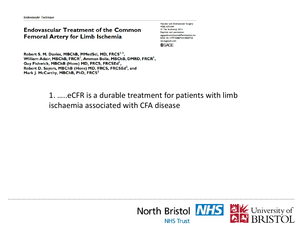#### **Endovascular Treatment of the Common Femoral Artery for Limb Ischemia**

Vascular and Endovascular Surgery 47(8) 639-644 © The Author(s) 2013 Reprints and permission: sagepub.com/journalsPermissions.nav DOI: 10.1177/1538574413500723 ves.sagepub.com **SSAGE** 

Robert S. M. Davies, MBChB, MMedSci, MD, FRCS<sup>1,2</sup>, William Adair, MBChB, FRCR<sup>1</sup>, Amman Bolia, MBChB, DMRD, FRCR<sup>1</sup>, Guy Fishwick, MBChB (Hons) MD, FRCS, FRCSEd<sup>1</sup>, Robert D. Sayers, MBChB (Hons) MD, FRCS, FRCSEd<sup>2</sup>, and Mark J. McCarthy, MBChB, PhD, FRCS<sup>2</sup>

#### 1. …..eCFR is a durable treatment for patients with limb ischaemia associated with CFA disease

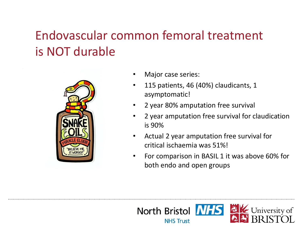# Endovascular common femoral treatment is NOT durable



- Major case series:
- 115 patients, 46 (40%) claudicants, 1 asymptomatic!
- 2 year 80% amputation free survival
- 2 year amputation free survival for claudication is 90%
- Actual 2 year amputation free survival for critical ischaemia was 51%!
- For comparison in BASIL 1 it was above 60% for both endo and open groups

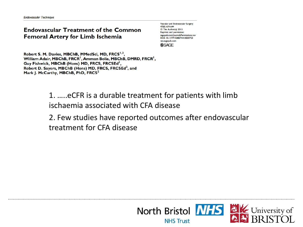#### **Endovascular Treatment of the Common Femoral Artery for Limb Ischemia**

Vascular and Endovascular Surgery 47(8) 639-644 © The Author(s) 2013 Reprints and permission: sagepub.com/iournalsPermissions.nav DOI: 10.1177/1538574413500723 ves.sagepub.com **SSAGE** 

Robert S. M. Davies, MBChB, MMedSci, MD, FRCS<sup>1,2</sup>, William Adair, MBChB, FRCR<sup>1</sup>, Amman Bolia, MBChB, DMRD, FRCR<sup>1</sup>, Guy Fishwick, MBChB (Hons) MD, FRCS, FRCSEd<sup>1</sup>, Robert D. Sayers, MBChB (Hons) MD, FRCS, FRCSEd<sup>2</sup>, and Mark I. McCarthy, MBChB, PhD, FRCS<sup>2</sup>

> 1. …..eCFR is a durable treatment for patients with limb ischaemia associated with CFA disease

2. Few studies have reported outcomes after endovascular treatment for CFA disease

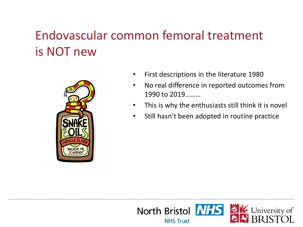## Endovascular common femoral treatment is NOT new



- First descriptions in the literature 1980
- No real difference in reported outcomes from 1990 to 2019………
- This is why the enthusiasts still think it is novel
- Still hasn't been adopted in routine practice

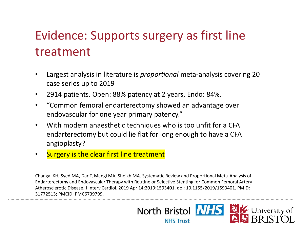# Evidence: Supports surgery as first line treatment

- Largest analysis in literature is *proportional* meta-analysis covering 20 case series up to 2019
- 2914 patients. Open: 88% patency at 2 years, Endo: 84%.
- "Common femoral endarterectomy showed an advantage over endovascular for one year primary patency."
- With modern anaesthetic techniques who is too unfit for a CFA endarterectomy but could lie flat for long enough to have a CFA angioplasty?
- Surgery is the clear first line treatment

Changal KH, Syed MA, Dar T, Mangi MA, Sheikh MA. Systematic Review and Proportional Meta-Analysis of Endarterectomy and Endovascular Therapy with Routine or Selective Stenting for Common Femoral Artery Atherosclerotic Disease. J Interv Cardiol. 2019 Apr 14;2019:1593401. doi: 10.1155/2019/1593401. PMID: 31772513; PMCID: PMC6739799.

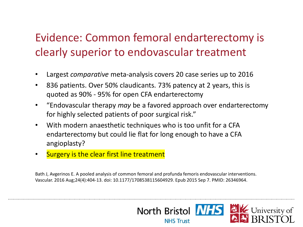### Evidence: Common femoral endarterectomy is clearly superior to endovascular treatment

- Largest *comparative* meta-analysis covers 20 case series up to 2016
- 836 patients. Over 50% claudicants. 73% patency at 2 years, this is quoted as 90% - 95% for open CFA endarterectomy
- "Endovascular therapy *may* be a favored approach over endarterectomy for highly selected patients of poor surgical risk."
- With modern anaesthetic techniques who is too unfit for a CFA endarterectomy but could lie flat for long enough to have a CFA angioplasty?
- Surgery is the clear first line treatment

Bath J, Avgerinos E. A pooled analysis of common femoral and profunda femoris endovascular interventions. Vascular. 2016 Aug;24(4):404-13. doi: 10.1177/1708538115604929. Epub 2015 Sep 7. PMID: 26346964.

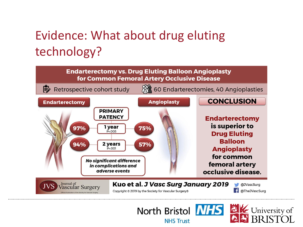# Evidence: What about drug eluting technology?

**Endarterectomy vs. Drug Eluting Balloon Angioplasty** for Common Femoral Artery Occlusive Disease



North Bristol NHS

**NHS Trust** 

**EX** University of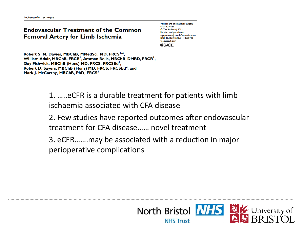#### **Endovascular Treatment of the Common Femoral Artery for Limb Ischemia**

Vascular and Endovascular Surgery 47(8) 639-644 © The Author(s) 2013 Reprints and permission: sagepub.com/iournalsPermissions.nav DOI: 10.1177/1538574413500723 ves.sagepub.com **SSAGE** 

Robert S. M. Davies, MBChB, MMedSci, MD, FRCS<sup>1,2</sup>, William Adair, MBChB, FRCR<sup>1</sup>, Amman Bolia, MBChB, DMRD, FRCR<sup>1</sup>, Guy Fishwick, MBChB (Hons) MD, FRCS, FRCSEd<sup>1</sup>, Robert D. Sayers, MBChB (Hons) MD, FRCS, FRCSEd<sup>2</sup>, and Mark I. McCarthy, MBChB, PhD, FRCS<sup>2</sup>

> 1. …..eCFR is a durable treatment for patients with limb ischaemia associated with CFA disease

2. Few studies have reported outcomes after endovascular treatment for CFA disease…… novel treatment

3. eCFR…….may be associated with a reduction in major perioperative complications

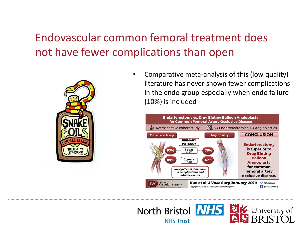Endovascular common femoral treatment does not have fewer complications than open



• Comparative meta-analysis of this (low quality) literature has never shown fewer complications in the endo group especially when endo failure (10%) is included